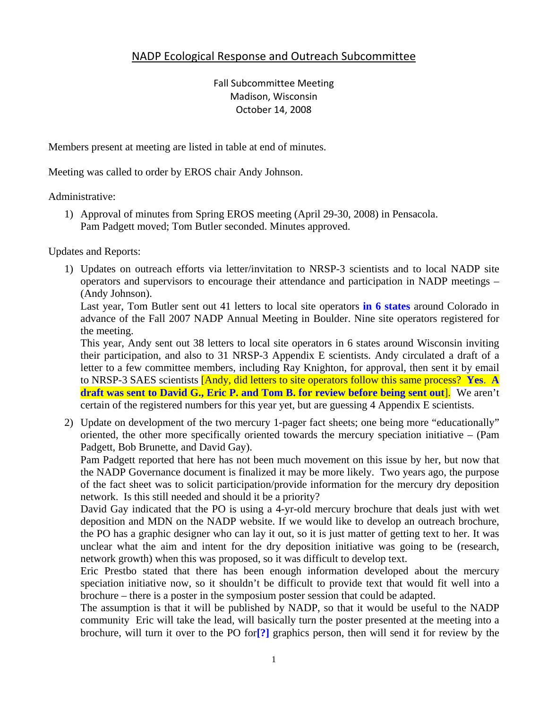# NADP Ecological Response and Outreach Subcommittee

Fall Subcommittee Meeting Madison, Wisconsin October 14, 2008

Members present at meeting are listed in table at end of minutes.

Meeting was called to order by EROS chair Andy Johnson.

Administrative:

1) Approval of minutes from Spring EROS meeting (April 29-30, 2008) in Pensacola. Pam Padgett moved; Tom Butler seconded. Minutes approved.

Updates and Reports:

1) Updates on outreach efforts via letter/invitation to NRSP-3 scientists and to local NADP site operators and supervisors to encourage their attendance and participation in NADP meetings – (Andy Johnson).

Last year, Tom Butler sent out 41 letters to local site operators **in 6 states** around Colorado in advance of the Fall 2007 NADP Annual Meeting in Boulder. Nine site operators registered for the meeting.

This year, Andy sent out 38 letters to local site operators in 6 states around Wisconsin inviting their participation, and also to 31 NRSP-3 Appendix E scientists. Andy circulated a draft of a letter to a few committee members, including Ray Knighton, for approval, then sent it by email to NRSP-3 SAES scientists [Andy, did letters to site operators follow this same process? **Yes**. **A draft was sent to David G., Eric P. and Tom B. for review before being sent out**]. We aren't certain of the registered numbers for this year yet, but are guessing 4 Appendix E scientists.

2) Update on development of the two mercury 1-pager fact sheets; one being more "educationally" oriented, the other more specifically oriented towards the mercury speciation initiative – (Pam Padgett, Bob Brunette, and David Gay).

Pam Padgett reported that here has not been much movement on this issue by her, but now that the NADP Governance document is finalized it may be more likely. Two years ago, the purpose of the fact sheet was to solicit participation/provide information for the mercury dry deposition network. Is this still needed and should it be a priority?

David Gay indicated that the PO is using a 4-yr-old mercury brochure that deals just with wet deposition and MDN on the NADP website. If we would like to develop an outreach brochure, the PO has a graphic designer who can lay it out, so it is just matter of getting text to her. It was unclear what the aim and intent for the dry deposition initiative was going to be (research, network growth) when this was proposed, so it was difficult to develop text.

Eric Prestbo stated that there has been enough information developed about the mercury speciation initiative now, so it shouldn't be difficult to provide text that would fit well into a brochure – there is a poster in the symposium poster session that could be adapted.

The assumption is that it will be published by NADP, so that it would be useful to the NADP community Eric will take the lead, will basically turn the poster presented at the meeting into a brochure, will turn it over to the PO for**[?]** graphics person, then will send it for review by the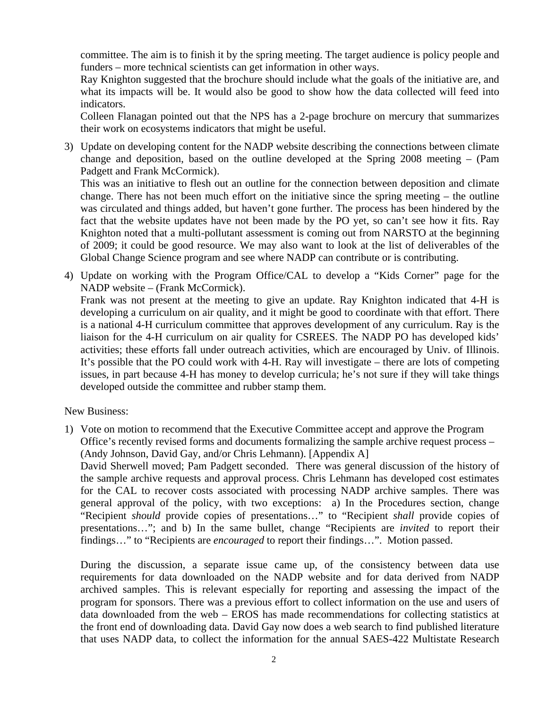committee. The aim is to finish it by the spring meeting. The target audience is policy people and funders – more technical scientists can get information in other ways.

Ray Knighton suggested that the brochure should include what the goals of the initiative are, and what its impacts will be. It would also be good to show how the data collected will feed into indicators.

Colleen Flanagan pointed out that the NPS has a 2-page brochure on mercury that summarizes their work on ecosystems indicators that might be useful.

3) Update on developing content for the NADP website describing the connections between climate change and deposition, based on the outline developed at the Spring 2008 meeting – (Pam Padgett and Frank McCormick).

This was an initiative to flesh out an outline for the connection between deposition and climate change. There has not been much effort on the initiative since the spring meeting – the outline was circulated and things added, but haven't gone further. The process has been hindered by the fact that the website updates have not been made by the PO yet, so can't see how it fits. Ray Knighton noted that a multi-pollutant assessment is coming out from NARSTO at the beginning of 2009; it could be good resource. We may also want to look at the list of deliverables of the Global Change Science program and see where NADP can contribute or is contributing.

4) Update on working with the Program Office/CAL to develop a "Kids Corner" page for the NADP website – (Frank McCormick).

Frank was not present at the meeting to give an update. Ray Knighton indicated that 4-H is developing a curriculum on air quality, and it might be good to coordinate with that effort. There is a national 4-H curriculum committee that approves development of any curriculum. Ray is the liaison for the 4-H curriculum on air quality for CSREES. The NADP PO has developed kids' activities; these efforts fall under outreach activities, which are encouraged by Univ. of Illinois. It's possible that the PO could work with 4-H. Ray will investigate – there are lots of competing issues, in part because 4-H has money to develop curricula; he's not sure if they will take things developed outside the committee and rubber stamp them.

New Business:

1) Vote on motion to recommend that the Executive Committee accept and approve the Program Office's recently revised forms and documents formalizing the sample archive request process – (Andy Johnson, David Gay, and/or Chris Lehmann). [Appendix A]

David Sherwell moved; Pam Padgett seconded. There was general discussion of the history of the sample archive requests and approval process. Chris Lehmann has developed cost estimates for the CAL to recover costs associated with processing NADP archive samples. There was general approval of the policy, with two exceptions: a) In the Procedures section, change "Recipient *should* provide copies of presentations…" to "Recipient *shall* provide copies of presentations…"; and b) In the same bullet, change "Recipients are *invited* to report their findings…" to "Recipients are *encouraged* to report their findings…". Motion passed.

During the discussion, a separate issue came up, of the consistency between data use requirements for data downloaded on the NADP website and for data derived from NADP archived samples. This is relevant especially for reporting and assessing the impact of the program for sponsors. There was a previous effort to collect information on the use and users of data downloaded from the web – EROS has made recommendations for collecting statistics at the front end of downloading data. David Gay now does a web search to find published literature that uses NADP data, to collect the information for the annual SAES-422 Multistate Research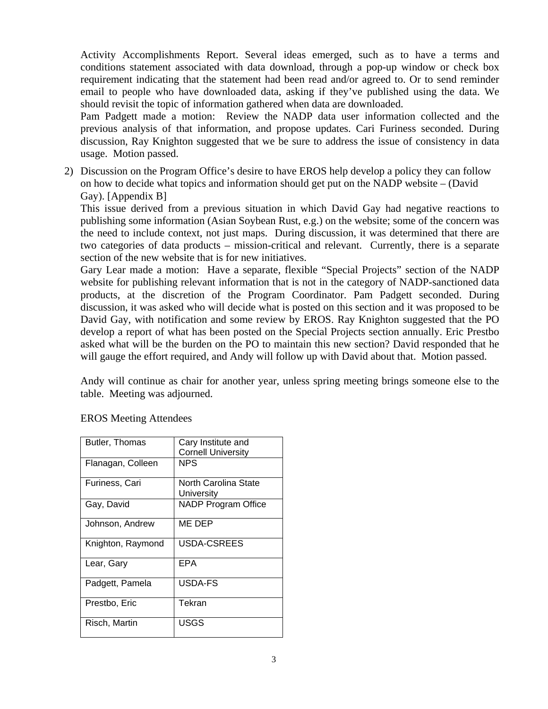Activity Accomplishments Report. Several ideas emerged, such as to have a terms and conditions statement associated with data download, through a pop-up window or check box requirement indicating that the statement had been read and/or agreed to. Or to send reminder email to people who have downloaded data, asking if they've published using the data. We should revisit the topic of information gathered when data are downloaded.

Pam Padgett made a motion: Review the NADP data user information collected and the previous analysis of that information, and propose updates. Cari Furiness seconded. During discussion, Ray Knighton suggested that we be sure to address the issue of consistency in data usage. Motion passed.

2) Discussion on the Program Office's desire to have EROS help develop a policy they can follow on how to decide what topics and information should get put on the NADP website – (David Gay). [Appendix B]

This issue derived from a previous situation in which David Gay had negative reactions to publishing some information (Asian Soybean Rust, e.g.) on the website; some of the concern was the need to include context, not just maps. During discussion, it was determined that there are two categories of data products – mission-critical and relevant. Currently, there is a separate section of the new website that is for new initiatives.

Gary Lear made a motion: Have a separate, flexible "Special Projects" section of the NADP website for publishing relevant information that is not in the category of NADP-sanctioned data products, at the discretion of the Program Coordinator. Pam Padgett seconded. During discussion, it was asked who will decide what is posted on this section and it was proposed to be David Gay, with notification and some review by EROS. Ray Knighton suggested that the PO develop a report of what has been posted on the Special Projects section annually. Eric Prestbo asked what will be the burden on the PO to maintain this new section? David responded that he will gauge the effort required, and Andy will follow up with David about that. Motion passed.

Andy will continue as chair for another year, unless spring meeting brings someone else to the table. Meeting was adjourned.

| Butler, Thomas    | Cary Institute and         |
|-------------------|----------------------------|
|                   | <b>Cornell University</b>  |
| Flanagan, Colleen | NPS                        |
| Furiness, Cari    | North Carolina State       |
|                   | University                 |
| Gay, David        | <b>NADP Program Office</b> |
| Johnson, Andrew   | ME DEP                     |
| Knighton, Raymond | USDA-CSREES                |
| Lear, Gary        | EPA                        |
| Padgett, Pamela   | USDA-FS                    |
| Prestbo, Eric     | Tekran                     |
| Risch, Martin     | USGS                       |

### EROS Meeting Attendees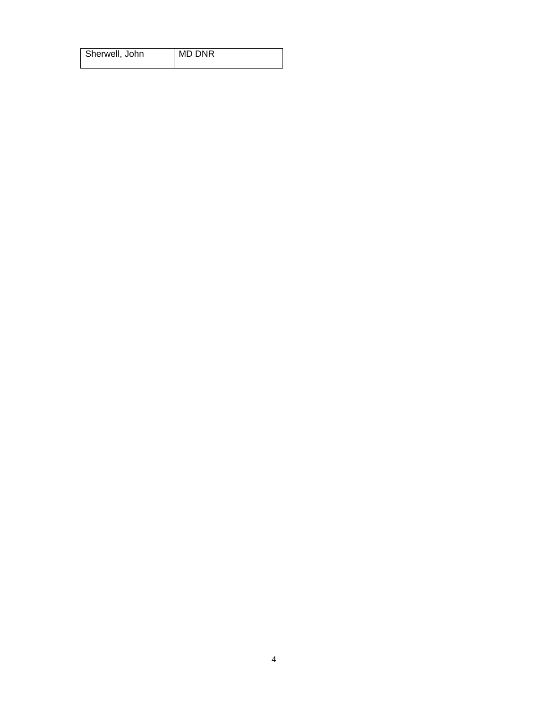| Sherwell, John | MD DNR |
|----------------|--------|
|                |        |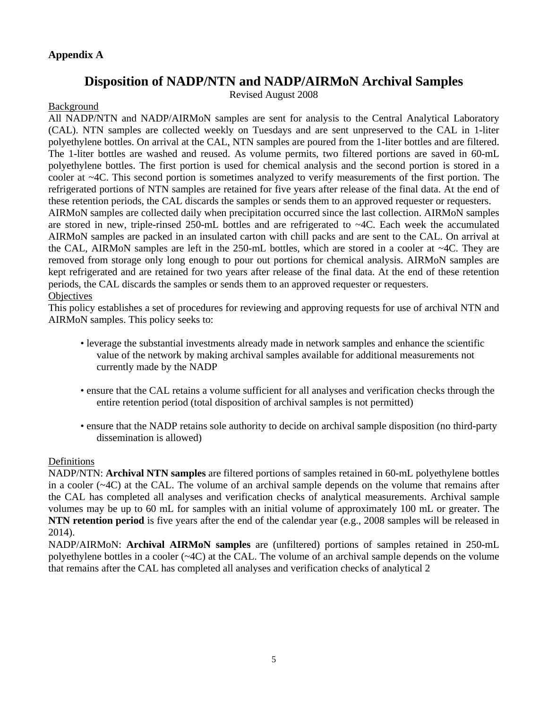#### **Appendix A**

# **Disposition of NADP/NTN and NADP/AIRMoN Archival Samples**

Revised August 2008

#### Background

All NADP/NTN and NADP/AIRMoN samples are sent for analysis to the Central Analytical Laboratory (CAL). NTN samples are collected weekly on Tuesdays and are sent unpreserved to the CAL in 1-liter polyethylene bottles. On arrival at the CAL, NTN samples are poured from the 1-liter bottles and are filtered. The 1-liter bottles are washed and reused. As volume permits, two filtered portions are saved in 60-mL polyethylene bottles. The first portion is used for chemical analysis and the second portion is stored in a cooler at ~4C. This second portion is sometimes analyzed to verify measurements of the first portion. The refrigerated portions of NTN samples are retained for five years after release of the final data. At the end of these retention periods, the CAL discards the samples or sends them to an approved requester or requesters. AIRMoN samples are collected daily when precipitation occurred since the last collection. AIRMoN samples are stored in new, triple-rinsed 250-mL bottles and are refrigerated to  $\sim$ 4C. Each week the accumulated AIRMoN samples are packed in an insulated carton with chill packs and are sent to the CAL. On arrival at the CAL, AIRMoN samples are left in the 250-mL bottles, which are stored in a cooler at ~4C. They are removed from storage only long enough to pour out portions for chemical analysis. AIRMoN samples are kept refrigerated and are retained for two years after release of the final data. At the end of these retention periods, the CAL discards the samples or sends them to an approved requester or requesters. **Objectives** 

This policy establishes a set of procedures for reviewing and approving requests for use of archival NTN and AIRMoN samples. This policy seeks to:

- leverage the substantial investments already made in network samples and enhance the scientific value of the network by making archival samples available for additional measurements not currently made by the NADP
- ensure that the CAL retains a volume sufficient for all analyses and verification checks through the entire retention period (total disposition of archival samples is not permitted)
- ensure that the NADP retains sole authority to decide on archival sample disposition (no third-party dissemination is allowed)

#### Definitions

NADP/NTN: **Archival NTN samples** are filtered portions of samples retained in 60-mL polyethylene bottles in a cooler  $(\sim 4C)$  at the CAL. The volume of an archival sample depends on the volume that remains after the CAL has completed all analyses and verification checks of analytical measurements. Archival sample volumes may be up to 60 mL for samples with an initial volume of approximately 100 mL or greater. The **NTN retention period** is five years after the end of the calendar year (e.g., 2008 samples will be released in 2014).

NADP/AIRMoN: **Archival AIRMoN samples** are (unfiltered) portions of samples retained in 250-mL polyethylene bottles in a cooler (~4C) at the CAL. The volume of an archival sample depends on the volume that remains after the CAL has completed all analyses and verification checks of analytical 2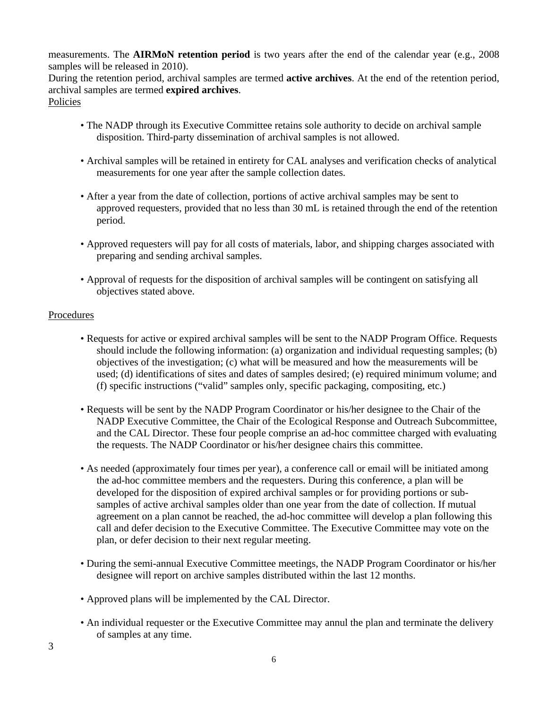measurements. The **AIRMoN retention period** is two years after the end of the calendar year (e.g., 2008 samples will be released in 2010).

During the retention period, archival samples are termed **active archives**. At the end of the retention period, archival samples are termed **expired archives**. Policies

- The NADP through its Executive Committee retains sole authority to decide on archival sample disposition. Third-party dissemination of archival samples is not allowed.
- Archival samples will be retained in entirety for CAL analyses and verification checks of analytical measurements for one year after the sample collection dates.
- After a year from the date of collection, portions of active archival samples may be sent to approved requesters, provided that no less than 30 mL is retained through the end of the retention period.
- Approved requesters will pay for all costs of materials, labor, and shipping charges associated with preparing and sending archival samples.
- Approval of requests for the disposition of archival samples will be contingent on satisfying all objectives stated above.

#### **Procedures**

- Requests for active or expired archival samples will be sent to the NADP Program Office. Requests should include the following information: (a) organization and individual requesting samples; (b) objectives of the investigation; (c) what will be measured and how the measurements will be used; (d) identifications of sites and dates of samples desired; (e) required minimum volume; and (f) specific instructions ("valid" samples only, specific packaging, compositing, etc.)
- Requests will be sent by the NADP Program Coordinator or his/her designee to the Chair of the NADP Executive Committee, the Chair of the Ecological Response and Outreach Subcommittee, and the CAL Director. These four people comprise an ad-hoc committee charged with evaluating the requests. The NADP Coordinator or his/her designee chairs this committee.
- As needed (approximately four times per year), a conference call or email will be initiated among the ad-hoc committee members and the requesters. During this conference, a plan will be developed for the disposition of expired archival samples or for providing portions or subsamples of active archival samples older than one year from the date of collection. If mutual agreement on a plan cannot be reached, the ad-hoc committee will develop a plan following this call and defer decision to the Executive Committee. The Executive Committee may vote on the plan, or defer decision to their next regular meeting.
- During the semi-annual Executive Committee meetings, the NADP Program Coordinator or his/her designee will report on archive samples distributed within the last 12 months.
- Approved plans will be implemented by the CAL Director.
- An individual requester or the Executive Committee may annul the plan and terminate the delivery of samples at any time.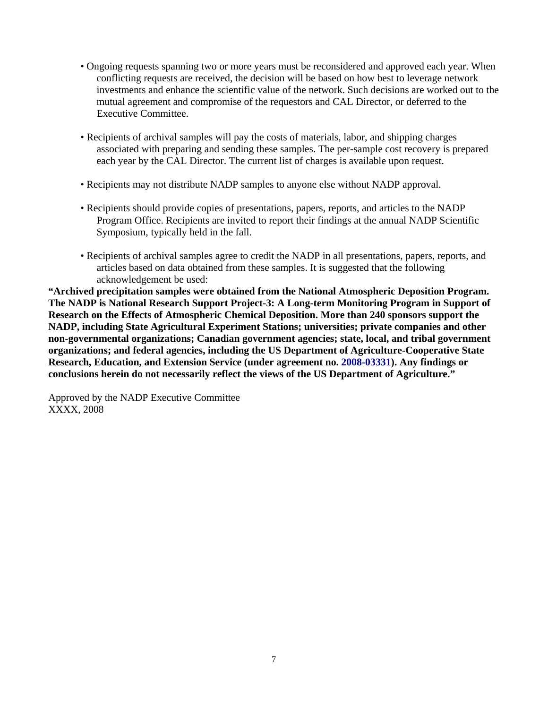- Ongoing requests spanning two or more years must be reconsidered and approved each year. When conflicting requests are received, the decision will be based on how best to leverage network investments and enhance the scientific value of the network. Such decisions are worked out to the mutual agreement and compromise of the requestors and CAL Director, or deferred to the Executive Committee.
- Recipients of archival samples will pay the costs of materials, labor, and shipping charges associated with preparing and sending these samples. The per-sample cost recovery is prepared each year by the CAL Director. The current list of charges is available upon request.
- Recipients may not distribute NADP samples to anyone else without NADP approval.
- Recipients should provide copies of presentations, papers, reports, and articles to the NADP Program Office. Recipients are invited to report their findings at the annual NADP Scientific Symposium, typically held in the fall.
- Recipients of archival samples agree to credit the NADP in all presentations, papers, reports, and articles based on data obtained from these samples. It is suggested that the following acknowledgement be used:

**"Archived precipitation samples were obtained from the National Atmospheric Deposition Program. The NADP is National Research Support Project-3: A Long-term Monitoring Program in Support of Research on the Effects of Atmospheric Chemical Deposition. More than 240 sponsors support the NADP, including State Agricultural Experiment Stations; universities; private companies and other non-governmental organizations; Canadian government agencies; state, local, and tribal government organizations; and federal agencies, including the US Department of Agriculture-Cooperative State Research, Education, and Extension Service (under agreement no. 2008-03331). Any findings or conclusions herein do not necessarily reflect the views of the US Department of Agriculture."** 

Approved by the NADP Executive Committee XXXX, 2008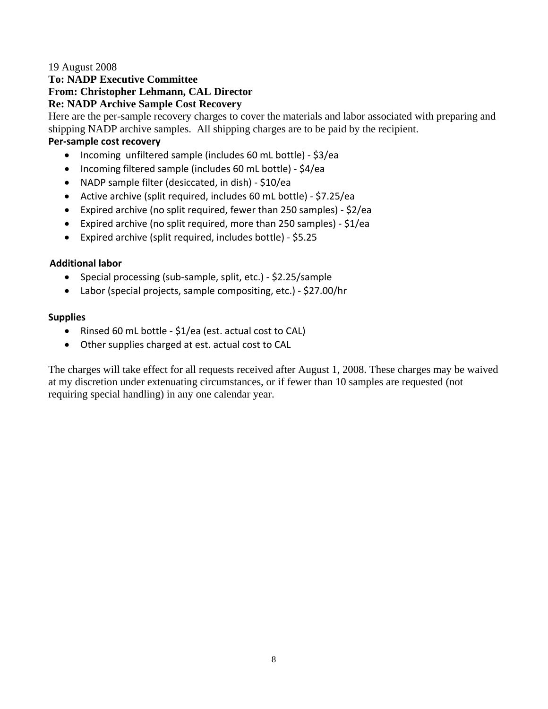#### 19 August 2008

### **To: NADP Executive Committee From: Christopher Lehmann, CAL Director Re: NADP Archive Sample Cost Recovery**

Here are the per-sample recovery charges to cover the materials and labor associated with preparing and shipping NADP archive samples. All shipping charges are to be paid by the recipient.

#### **Per‐sample cost recovery**

- Incoming unfiltered sample (includes 60 mL bottle) ‐ \$3/ea
- Incoming filtered sample (includes 60 mL bottle) ‐ \$4/ea
- NADP sample filter (desiccated, in dish) ‐ \$10/ea
- Active archive (split required, includes 60 mL bottle) ‐ \$7.25/ea
- Expired archive (no split required, fewer than 250 samples) ‐ \$2/ea
- Expired archive (no split required, more than 250 samples) ‐ \$1/ea
- Expired archive (split required, includes bottle) ‐ \$5.25

### **Additional labor**

- Special processing (sub‐sample, split, etc.) ‐ \$2.25/sample
- Labor (special projects, sample compositing, etc.) ‐ \$27.00/hr

#### **Supplies**

- Rinsed 60 mL bottle ‐ \$1/ea (est. actual cost to CAL)
- Other supplies charged at est. actual cost to CAL

The charges will take effect for all requests received after August 1, 2008. These charges may be waived at my discretion under extenuating circumstances, or if fewer than 10 samples are requested (not requiring special handling) in any one calendar year.